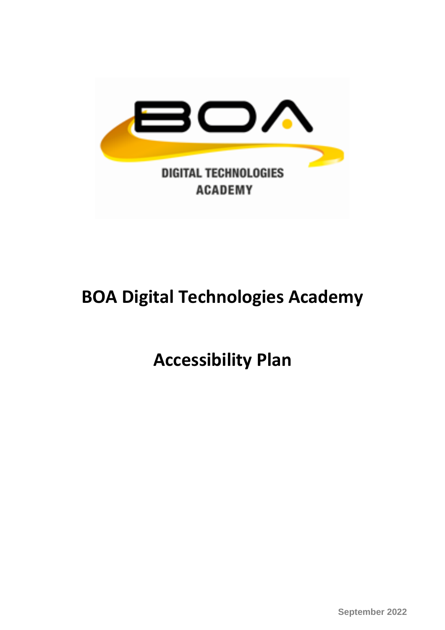

# **BOA Digital Technologies Academy**

# **Accessibility Plan**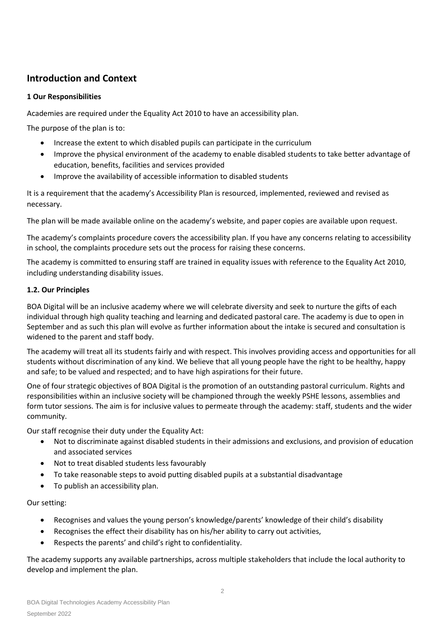## **Introduction and Context**

#### **1 Our Responsibilities**

Academies are required under the Equality Act 2010 to have an accessibility plan.

The purpose of the plan is to:

- Increase the extent to which disabled pupils can participate in the curriculum
- Improve the physical environment of the academy to enable disabled students to take better advantage of education, benefits, facilities and services provided
- Improve the availability of accessible information to disabled students

It is a requirement that the academy's Accessibility Plan is resourced, implemented, reviewed and revised as necessary.

The plan will be made available online on the academy's website, and paper copies are available upon request.

The academy's complaints procedure covers the accessibility plan. If you have any concerns relating to accessibility in school, the complaints procedure sets out the process for raising these concerns.

The academy is committed to ensuring staff are trained in equality issues with reference to the Equality Act 2010, including understanding disability issues.

#### **1.2. Our Principles**

BOA Digital will be an inclusive academy where we will celebrate diversity and seek to nurture the gifts of each individual through high quality teaching and learning and dedicated pastoral care. The academy is due to open in September and as such this plan will evolve as further information about the intake is secured and consultation is widened to the parent and staff body.

The academy will treat all its students fairly and with respect. This involves providing access and opportunities for all students without discrimination of any kind. We believe that all young people have the right to be healthy, happy and safe; to be valued and respected; and to have high aspirations for their future.

One of four strategic objectives of BOA Digital is the promotion of an outstanding pastoral curriculum. Rights and responsibilities within an inclusive society will be championed through the weekly PSHE lessons, assemblies and form tutor sessions. The aim is for inclusive values to permeate through the academy: staff, students and the wider community.

Our staff recognise their duty under the Equality Act:

- Not to discriminate against disabled students in their admissions and exclusions, and provision of education and associated services
- Not to treat disabled students less favourably
- To take reasonable steps to avoid putting disabled pupils at a substantial disadvantage
- To publish an accessibility plan.

#### Our setting:

- Recognises and values the young person's knowledge/parents' knowledge of their child's disability
- Recognises the effect their disability has on his/her ability to carry out activities,
- Respects the parents' and child's right to confidentiality.

The academy supports any available partnerships, across multiple stakeholders that include the local authority to develop and implement the plan.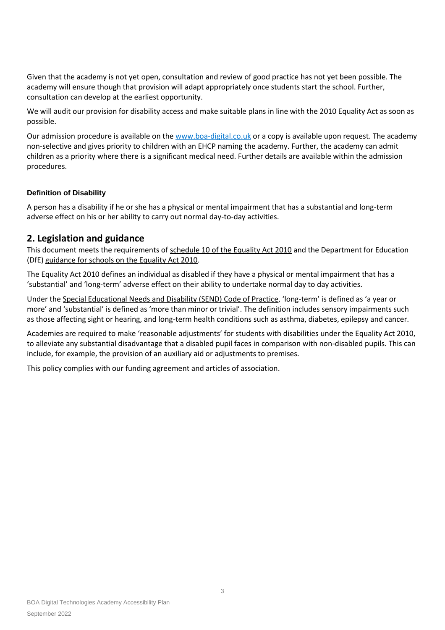Given that the academy is not yet open, consultation and review of good practice has not yet been possible. The academy will ensure though that provision will adapt appropriately once students start the school. Further, consultation can develop at the earliest opportunity.

We will audit our provision for disability access and make suitable plans in line with the 2010 Equality Act as soon as possible.

Our admission procedure is available on th[e www.boa-digital.co.uk](http://www.boa-digital.co.uk/) or a copy is available upon request. The academy non-selective and gives priority to children with an EHCP naming the academy. Further, the academy can admit children as a priority where there is a significant medical need. Further details are available within the admission procedures.

#### **Definition of Disability**

A person has a disability if he or she has a physical or mental impairment that has a substantial and long-term adverse effect on his or her ability to carry out normal day-to-day activities.

### **2. Legislation and guidance**

This document meets the requirements of [schedule 10 of the Equality Act 2010](http://www.legislation.gov.uk/ukpga/2010/15/schedule/10) and the Department for Education (DfE[\) guidance for schools on the Equality Act 2010.](https://www.gov.uk/government/publications/equality-act-2010-advice-for-schools)

The Equality Act 2010 defines an individual as disabled if they have a physical or mental impairment that has a 'substantial' and 'long-term' adverse effect on their ability to undertake normal day to day activities.

Under the [Special Educational Needs and Disability \(SEND\) Code of Practice](https://www.gov.uk/government/publications/send-code-of-practice-0-to-25), 'long-term' is defined as 'a year or more' and 'substantial' is defined as 'more than minor or trivial'. The definition includes sensory impairments such as those affecting sight or hearing, and long-term health conditions such as asthma, diabetes, epilepsy and cancer.

Academies are required to make 'reasonable adjustments' for students with disabilities under the Equality Act 2010, to alleviate any substantial disadvantage that a disabled pupil faces in comparison with non-disabled pupils. This can include, for example, the provision of an auxiliary aid or adjustments to premises.

This policy complies with our funding agreement and articles of association.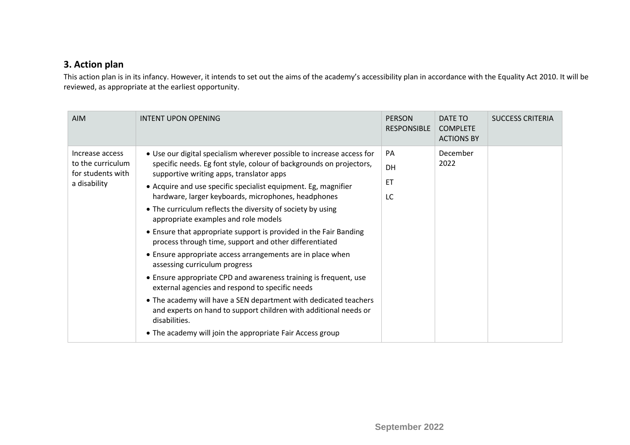## **3. Action plan**

This action plan is in its infancy. However, it intends to set out the aims of the academy's accessibility plan in accordance with the Equality Act 2010. It will be reviewed, as appropriate at the earliest opportunity.

| <b>AIM</b>                                                                | INTENT UPON OPENING                                                                                                                                                                                                                                                                                                                                                                                                                                                                                                                                                                                                                                                                                                                                                                                                                                                                                                                                                                                 | <b>PERSON</b><br><b>RESPONSIBLE</b> | DATE TO<br><b>COMPLETE</b><br><b>ACTIONS BY</b> | <b>SUCCESS CRITERIA</b> |
|---------------------------------------------------------------------------|-----------------------------------------------------------------------------------------------------------------------------------------------------------------------------------------------------------------------------------------------------------------------------------------------------------------------------------------------------------------------------------------------------------------------------------------------------------------------------------------------------------------------------------------------------------------------------------------------------------------------------------------------------------------------------------------------------------------------------------------------------------------------------------------------------------------------------------------------------------------------------------------------------------------------------------------------------------------------------------------------------|-------------------------------------|-------------------------------------------------|-------------------------|
| Increase access<br>to the curriculum<br>for students with<br>a disability | • Use our digital specialism wherever possible to increase access for<br>specific needs. Eg font style, colour of backgrounds on projectors,<br>supportive writing apps, translator apps<br>• Acquire and use specific specialist equipment. Eg, magnifier<br>hardware, larger keyboards, microphones, headphones<br>• The curriculum reflects the diversity of society by using<br>appropriate examples and role models<br>• Ensure that appropriate support is provided in the Fair Banding<br>process through time, support and other differentiated<br>• Ensure appropriate access arrangements are in place when<br>assessing curriculum progress<br>• Ensure appropriate CPD and awareness training is frequent, use<br>external agencies and respond to specific needs<br>• The academy will have a SEN department with dedicated teachers<br>and experts on hand to support children with additional needs or<br>disabilities.<br>• The academy will join the appropriate Fair Access group | <b>PA</b><br><b>DH</b><br>ET<br>LC  | December<br>2022                                |                         |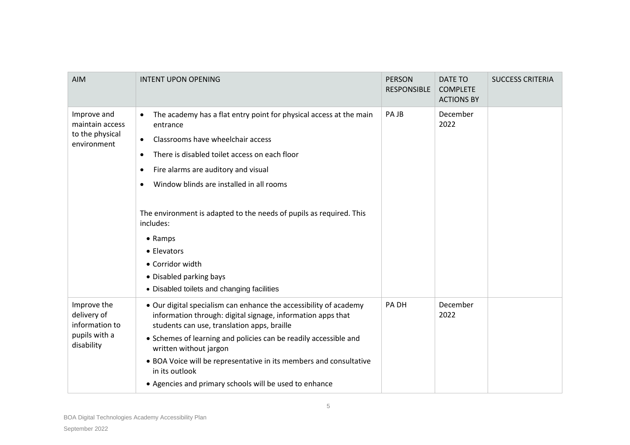| <b>AIM</b>                                                                  | <b>INTENT UPON OPENING</b>                                                                                                                                                                                                                                                                                                                                                                                                                                 | <b>PERSON</b><br><b>RESPONSIBLE</b> | <b>DATE TO</b><br><b>COMPLETE</b><br><b>ACTIONS BY</b> | <b>SUCCESS CRITERIA</b> |
|-----------------------------------------------------------------------------|------------------------------------------------------------------------------------------------------------------------------------------------------------------------------------------------------------------------------------------------------------------------------------------------------------------------------------------------------------------------------------------------------------------------------------------------------------|-------------------------------------|--------------------------------------------------------|-------------------------|
| Improve and<br>maintain access<br>to the physical<br>environment            | The academy has a flat entry point for physical access at the main<br>$\bullet$<br>entrance<br>Classrooms have wheelchair access<br>$\bullet$<br>There is disabled toilet access on each floor<br>$\bullet$<br>Fire alarms are auditory and visual<br>$\bullet$<br>Window blinds are installed in all rooms<br>$\bullet$<br>The environment is adapted to the needs of pupils as required. This<br>includes:<br>• Ramps<br>• Elevators<br>• Corridor width | PA JB                               | December<br>2022                                       |                         |
|                                                                             | • Disabled parking bays<br>• Disabled toilets and changing facilities                                                                                                                                                                                                                                                                                                                                                                                      |                                     |                                                        |                         |
| Improve the<br>delivery of<br>information to<br>pupils with a<br>disability | • Our digital specialism can enhance the accessibility of academy<br>information through: digital signage, information apps that<br>students can use, translation apps, braille<br>• Schemes of learning and policies can be readily accessible and<br>written without jargon<br>• BOA Voice will be representative in its members and consultative<br>in its outlook<br>• Agencies and primary schools will be used to enhance                            | PA DH                               | December<br>2022                                       |                         |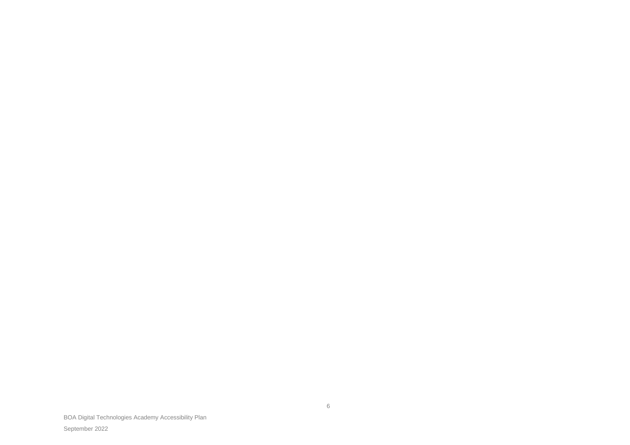#### BOA Digital Technologies Academy Accessibility Plan